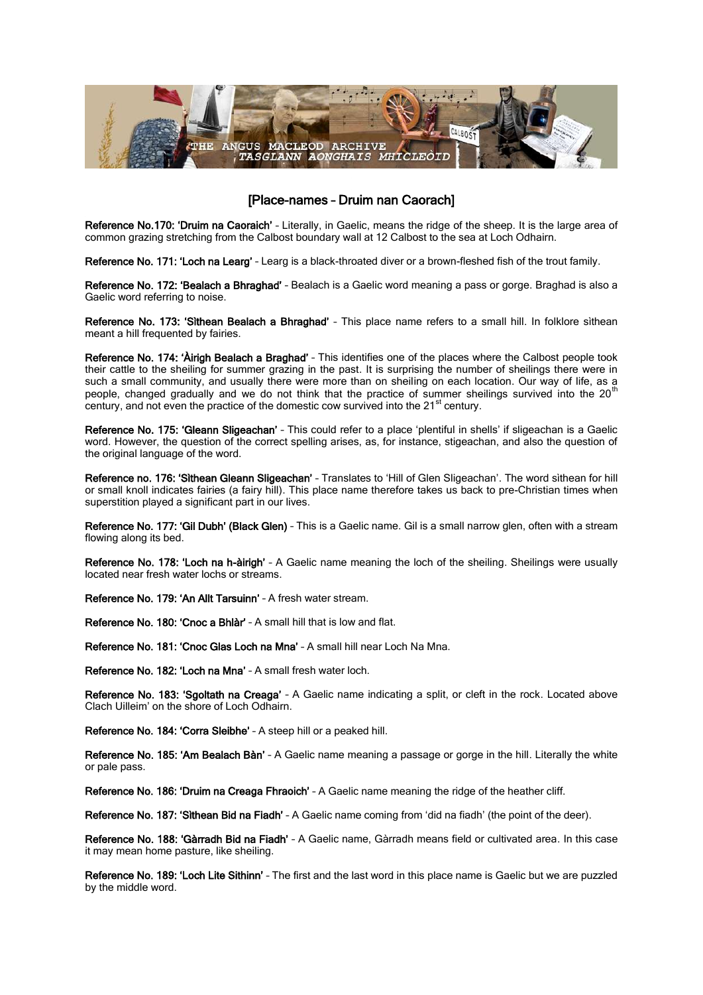

## [Place-names – Druim nan Caorach]

Reference No.170: 'Druim na Caoraich' - Literally, in Gaelic, means the ridge of the sheep. It is the large area of common grazing stretching from the Calbost boundary wall at 12 Calbost to the sea at Loch Odhairn.

Reference No. 171: 'Loch na Learg' - Learg is a black-throated diver or a brown-fleshed fish of the trout family.

Reference No. 172: 'Bealach a Bhraghad' - Bealach is a Gaelic word meaning a pass or gorge. Braghad is also a Gaelic word referring to noise.

Reference No. 173: 'Sìthean Bealach a Bhraghad' - This place name refers to a small hill. In folklore sìthean meant a hill frequented by fairies.

Reference No. 174: 'Àirigh Bealach a Braghad' – This identifies one of the places where the Calbost people took their cattle to the sheiling for summer grazing in the past. It is surprising the number of sheilings there were in such a small community, and usually there were more than on sheiling on each location. Our way of life, as a people, changed gradually and we do not think that the practice of summer sheilings survived into the 20<sup>th</sup> century, and not even the practice of the domestic cow survived into the  $21<sup>st</sup>$  century.

Reference No. 175: 'Gleann Sligeachan' – This could refer to a place 'plentiful in shells' if sligeachan is a Gaelic word. However, the question of the correct spelling arises, as, for instance, stigeachan, and also the question of the original language of the word.

Reference no. 176: 'Sìthean Gleann Sligeachan' – Translates to 'Hill of Glen Sligeachan'. The word sìthean for hill or small knoll indicates fairies (a fairy hill). This place name therefore takes us back to pre-Christian times when superstition played a significant part in our lives.

Reference No. 177: 'Gil Dubh' (Black Glen) – This is a Gaelic name. Gil is a small narrow glen, often with a stream flowing along its bed.

Reference No. 178: 'Loch na h-àirigh' – A Gaelic name meaning the loch of the sheiling. Sheilings were usually located near fresh water lochs or streams.

Reference No. 179: 'An Allt Tarsuinn' – A fresh water stream.

Reference No. 180: 'Cnoc a Bhlàr' - A small hill that is low and flat.

Reference No. 181: 'Cnoc Glas Loch na Mna' – A small hill near Loch Na Mna.

Reference No. 182: 'Loch na Mna' – A small fresh water loch.

Reference No. 183: 'Sgoltath na Creaga' - A Gaelic name indicating a split, or cleft in the rock. Located above Clach Uilleim' on the shore of Loch Odhairn.

Reference No. 184: 'Corra Sleibhe' – A steep hill or a peaked hill.

Reference No. 185: 'Am Bealach Bàn' - A Gaelic name meaning a passage or gorge in the hill. Literally the white or pale pass.

Reference No. 186: 'Druim na Creaga Fhraoich' – A Gaelic name meaning the ridge of the heather cliff.

Reference No. 187: 'Sìthean Bid na Fiadh' – A Gaelic name coming from 'did na fiadh' (the point of the deer).

Reference No. 188: 'Gàrradh Bid na Fiadh' – A Gaelic name, Gàrradh means field or cultivated area. In this case it may mean home pasture, like sheiling.

Reference No. 189: 'Loch Lite Sithinn' – The first and the last word in this place name is Gaelic but we are puzzled by the middle word.